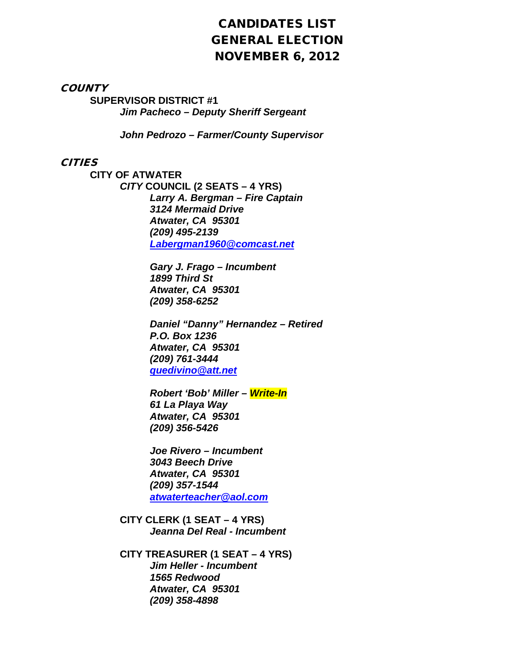# CANDIDATES LIST GENERAL ELECTION NOVEMBER 6, 2012

**COUNTY** 

**SUPERVISOR DISTRICT #1** *Jim Pacheco – Deputy Sheriff Sergeant*

*John Pedrozo – Farmer/County Supervisor*

## **CITIES**

**CITY OF ATWATER** *CITY* **COUNCIL (2 SEATS – 4 YRS)**  *Larry A. Bergman – Fire Captain 3124 Mermaid Drive Atwater, CA 95301 (209) 495-2139 [Labergman1960@comcast.net](mailto:Labergman1960@comcast.net)*

> *Gary J. Frago – Incumbent 1899 Third St Atwater, CA 95301 (209) 358-6252*

*Daniel "Danny" Hernandez – Retired P.O. Box 1236 Atwater, CA 95301 (209) 761-3444 [quedivino@att.net](mailto:quedivino@att.net)*

*Robert 'Bob' Miller – Write-In 61 La Playa Way Atwater, CA 95301 (209) 356-5426*

*Joe Rivero – Incumbent 3043 Beech Drive Atwater, CA 95301 (209) 357-1544 [atwaterteacher@aol.com](mailto:atwaterteacher@aol.com)*

**CITY CLERK (1 SEAT – 4 YRS)** *Jeanna Del Real - Incumbent*

**CITY TREASURER (1 SEAT – 4 YRS)** *Jim Heller - Incumbent 1565 Redwood Atwater, CA 95301 (209) 358-4898*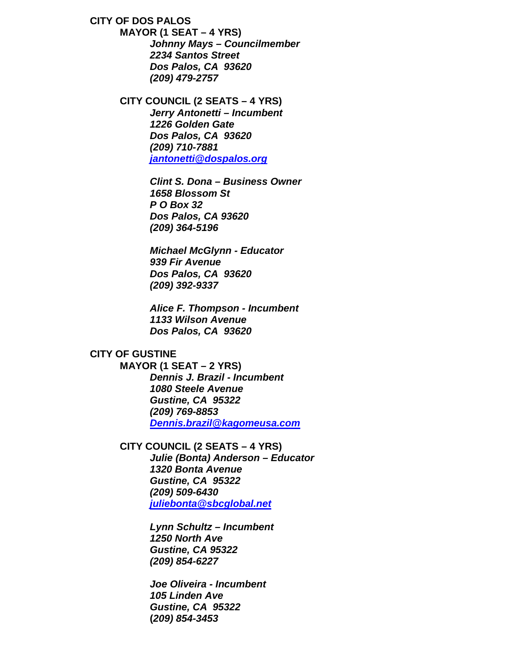**CITY OF DOS PALOS**

**MAYOR (1 SEAT – 4 YRS)** *Johnny Mays – Councilmember 2234 Santos Street Dos Palos, CA 93620 (209) 479-2757*

**CITY COUNCIL (2 SEATS – 4 YRS)** *Jerry Antonetti – Incumbent 1226 Golden Gate Dos Palos, CA 93620 (209) 710-7881 [jantonetti@dospalos.org](mailto:jantonetti@dospalos.org)*

> *Clint S. Dona – Business Owner 1658 Blossom St P O Box 32 Dos Palos, CA 93620 (209) 364-5196*

*Michael McGlynn - Educator 939 Fir Avenue Dos Palos, CA 93620 (209) 392-9337*

*Alice F. Thompson - Incumbent 1133 Wilson Avenue Dos Palos, CA 93620*

## **CITY OF GUSTINE**

**MAYOR (1 SEAT – 2 YRS)** *Dennis J. Brazil - Incumbent 1080 Steele Avenue Gustine, CA 95322 (209) 769-8853 [Dennis.brazil@kagomeusa.com](mailto:Dennis.brazil@kagomeusa.com)*

#### **CITY COUNCIL (2 SEATS – 4 YRS)**

*Julie (Bonta) Anderson – Educator 1320 Bonta Avenue Gustine, CA 95322 (209) 509-6430 [juliebonta@sbcglobal.net](mailto:juliebonta@sbcglobal.net)*

*Lynn Schultz – Incumbent 1250 North Ave Gustine, CA 95322 (209) 854-6227*

*Joe Oliveira - Incumbent 105 Linden Ave Gustine, CA 95322* **(***209) 854-3453*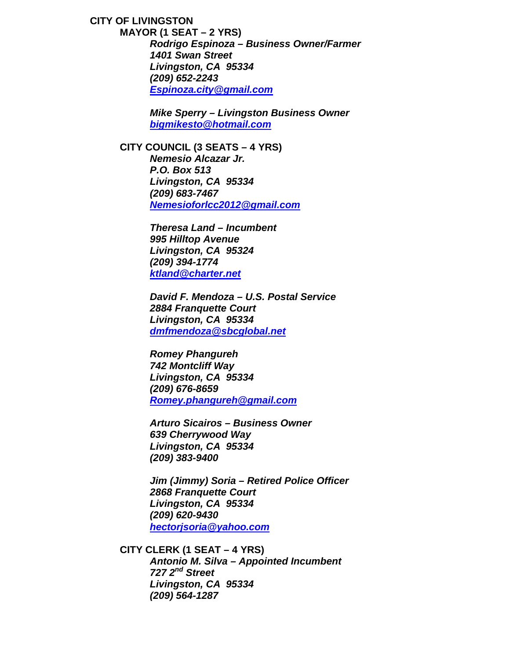**CITY OF LIVINGSTON MAYOR (1 SEAT – 2 YRS)** *Rodrigo Espinoza – Business Owner/Farmer 1401 Swan Street Livingston, CA 95334 (209) 652-2243 [Espinoza.city@gmail.com](mailto:Espinoza.city@gmail.com)*

> *Mike Sperry – Livingston Business Owner [bigmikesto@hotmail.com](mailto:bigmikesto@hotmail.com)*

**CITY COUNCIL (3 SEATS – 4 YRS)** *Nemesio Alcazar Jr. P.O. Box 513 Livingston, CA 95334 (209) 683-7467 [Nemesioforlcc2012@gmail.com](mailto:Nemesioforlcc2012@gmail.com)*

> *Theresa Land* **–** *Incumbent 995 Hilltop Avenue Livingston, CA 95324 (209) 394-1774 [ktland@charter.net](mailto:ktland@charter.net)*

*David F. Mendoza – U.S. Postal Service 2884 Franquette Court Livingston, CA 95334 [dmfmendoza@sbcglobal.net](mailto:dmfmendoza@sbcglobal.net)*

*Romey Phangureh 742 Montcliff Way Livingston, CA 95334 (209) 676-8659 [Romey.phangureh@gmail.com](mailto:Romey.phangureh@gmail.com)*

*Arturo Sicairos – Business Owner 639 Cherrywood Way Livingston, CA 95334 (209) 383-9400*

*Jim (Jimmy) Soria – Retired Police Officer 2868 Franquette Court Livingston, CA 95334 (209) 620-9430 [hectorjsoria@yahoo.com](mailto:hectorjsoria@yahoo.com)*

**CITY CLERK (1 SEAT – 4 YRS)** *Antonio M. Silva – Appointed Incumbent 727 2nd Street Livingston, CA 95334 (209) 564-1287*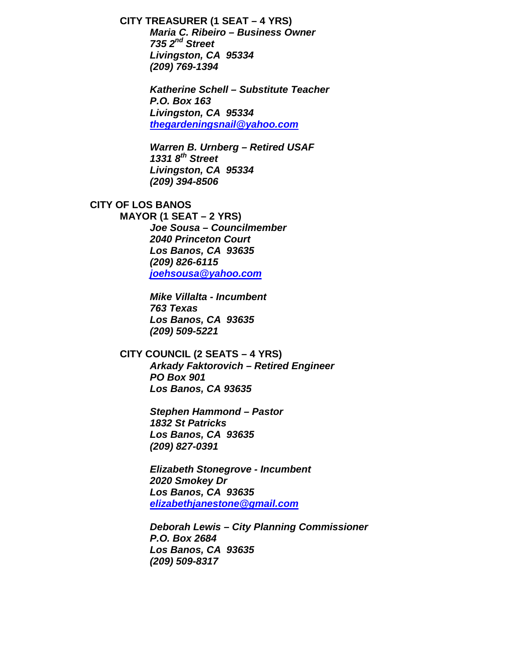# **CITY TREASURER (1 SEAT – 4 YRS)**

*Maria C. Ribeiro – Business Owner 735 2nd Street Livingston, CA 95334 (209) 769-1394*

*Katherine Schell – Substitute Teacher P.O. Box 163 Livingston, CA 95334 [thegardeningsnail@yahoo.com](mailto:thegardeningsnail@yahoo.com)*

*Warren B. Urnberg – Retired USAF 1331 8th Street Livingston, CA 95334 (209) 394-8506*

# **CITY OF LOS BANOS**

**MAYOR (1 SEAT – 2 YRS)** *Joe Sousa – Councilmember 2040 Princeton Court Los Banos, CA 93635 (209) 826-6115 [joehsousa@yahoo.com](mailto:joehsousa@yahoo.com)*

> *Mike Villalta - Incumbent 763 Texas Los Banos, CA 93635 (209) 509-5221*

## **CITY COUNCIL (2 SEATS – 4 YRS)** *Arkady Faktorovich – Retired Engineer PO Box 901 Los Banos, CA 93635*

*Stephen Hammond – Pastor 1832 St Patricks Los Banos, CA 93635 (209) 827-0391*

*Elizabeth Stonegrove - Incumbent 2020 Smokey Dr Los Banos, CA 93635 [elizabethjanestone@gmail.com](mailto:elizabethjanestone@gmail.com)*

*Deborah Lewis – City Planning Commissioner P.O. Box 2684 Los Banos, CA 93635 (209) 509-8317*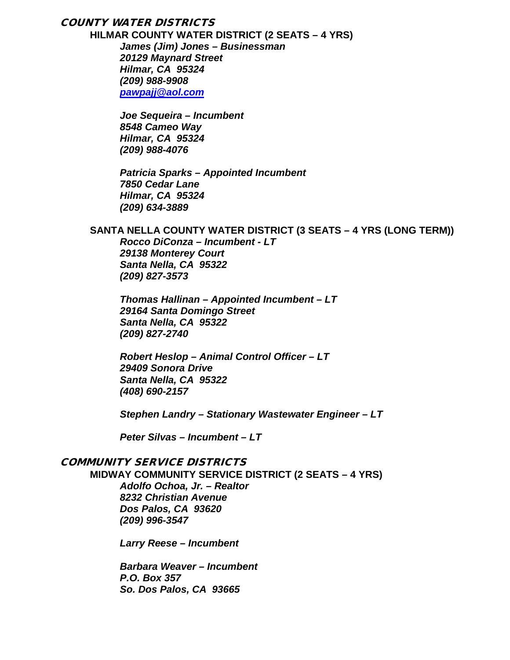# COUNTY WATER DISTRICTS

**HILMAR COUNTY WATER DISTRICT (2 SEATS – 4 YRS)** *James (Jim) Jones – Businessman 20129 Maynard Street Hilmar, CA 95324 (209) 988-9908 [pawpajj@aol.com](mailto:pawpajj@aol.com)*

> *Joe Sequeira – Incumbent 8548 Cameo Way Hilmar, CA 95324 (209) 988-4076*

*Patricia Sparks – Appointed Incumbent 7850 Cedar Lane Hilmar, CA 95324 (209) 634-3889*

### **SANTA NELLA COUNTY WATER DISTRICT (3 SEATS – 4 YRS (LONG TERM))**

*Rocco DiConza – Incumbent - LT 29138 Monterey Court Santa Nella, CA 95322 (209) 827-3573*

*Thomas Hallinan – Appointed Incumbent – LT 29164 Santa Domingo Street Santa Nella, CA 95322 (209) 827-2740*

*Robert Heslop – Animal Control Officer – LT 29409 Sonora Drive Santa Nella, CA 95322 (408) 690-2157*

*Stephen Landry – Stationary Wastewater Engineer – LT*

*Peter Silvas – Incumbent – LT*

# COMMUNITY SERVICE DISTRICTS

**MIDWAY COMMUNITY SERVICE DISTRICT (2 SEATS – 4 YRS)**

*Adolfo Ochoa, Jr. – Realtor 8232 Christian Avenue Dos Palos, CA 93620 (209) 996-3547*

*Larry Reese – Incumbent*

*Barbara Weaver – Incumbent P.O. Box 357 So. Dos Palos, CA 93665*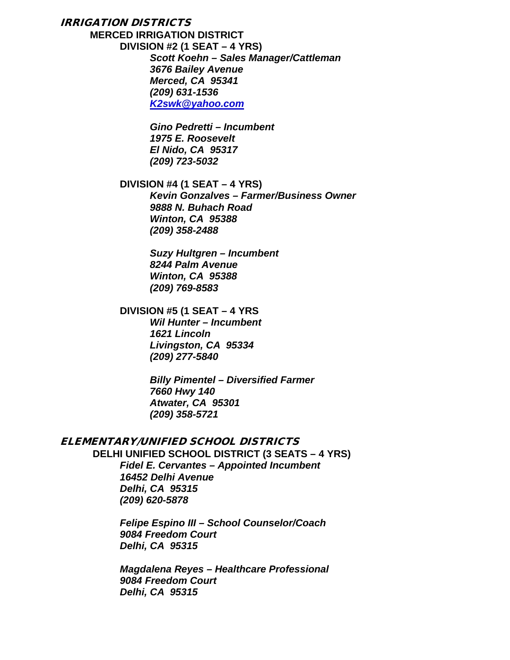### IRRIGATION DISTRICTS

**MERCED IRRIGATION DISTRICT DIVISION #2 (1 SEAT – 4 YRS)** *Scott Koehn – Sales Manager/Cattleman 3676 Bailey Avenue Merced, CA 95341 (209) 631-1536 [K2swk@yahoo.com](mailto:K2swk@yahoo.com)*

> *Gino Pedretti – Incumbent 1975 E. Roosevelt El Nido, CA 95317 (209) 723-5032*

### **DIVISION #4 (1 SEAT – 4 YRS)**

*Kevin Gonzalves – Farmer/Business Owner 9888 N. Buhach Road Winton, CA 95388 (209) 358-2488*

*Suzy Hultgren – Incumbent 8244 Palm Avenue Winton, CA 95388 (209) 769-8583*

#### **DIVISION #5 (1 SEAT – 4 YRS**

*Wil Hunter – Incumbent 1621 Lincoln Livingston, CA 95334 (209) 277-5840*

*Billy Pimentel – Diversified Farmer 7660 Hwy 140 Atwater, CA 95301 (209) 358-5721*

### ELEMENTARY/UNIFIED SCHOOL DISTRICTS

**DELHI UNIFIED SCHOOL DISTRICT (3 SEATS – 4 YRS)** *Fidel E. Cervantes – Appointed Incumbent 16452 Delhi Avenue Delhi, CA 95315 (209) 620-5878*

> *Felipe Espino III – School Counselor/Coach 9084 Freedom Court Delhi, CA 95315*

*Magdalena Reyes – Healthcare Professional 9084 Freedom Court Delhi, CA 95315*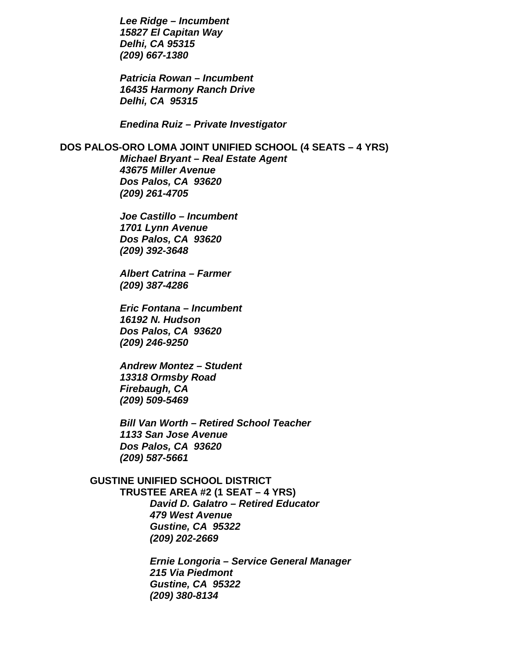*Lee Ridge – Incumbent 15827 El Capitan Way Delhi, CA 95315 (209) 667-1380*

*Patricia Rowan – Incumbent 16435 Harmony Ranch Drive Delhi, CA 95315*

*Enedina Ruiz – Private Investigator*

## **DOS PALOS-ORO LOMA JOINT UNIFIED SCHOOL (4 SEATS – 4 YRS)**

*Michael Bryant – Real Estate Agent 43675 Miller Avenue Dos Palos, CA 93620 (209) 261-4705*

*Joe Castillo – Incumbent 1701 Lynn Avenue Dos Palos, CA 93620 (209) 392-3648*

*Albert Catrina – Farmer (209) 387-4286*

*Eric Fontana – Incumbent 16192 N. Hudson Dos Palos, CA 93620 (209) 246-9250*

*Andrew Montez – Student 13318 Ormsby Road Firebaugh, CA (209) 509-5469*

*Bill Van Worth – Retired School Teacher 1133 San Jose Avenue Dos Palos, CA 93620 (209) 587-5661*

**GUSTINE UNIFIED SCHOOL DISTRICT TRUSTEE AREA #2 (1 SEAT – 4 YRS)** *David D. Galatro – Retired Educator 479 West Avenue Gustine, CA 95322 (209) 202-2669*

> *Ernie Longoria – Service General Manager 215 Via Piedmont Gustine, CA 95322 (209) 380-8134*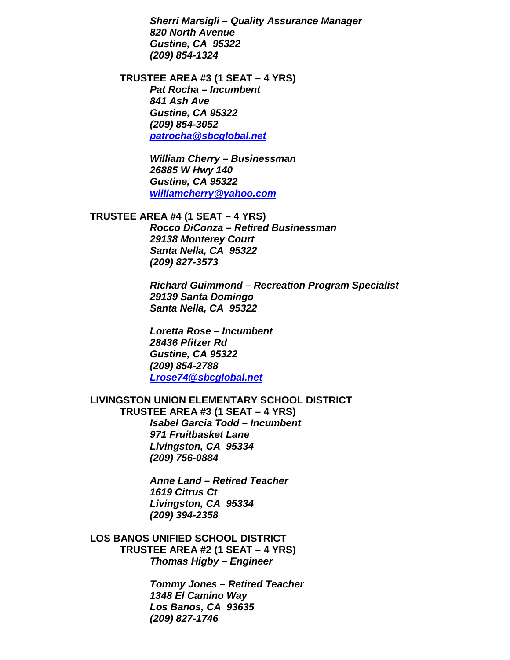*Sherri Marsigli – Quality Assurance Manager 820 North Avenue Gustine, CA 95322 (209) 854-1324*

**TRUSTEE AREA #3 (1 SEAT – 4 YRS)** *Pat Rocha – Incumbent 841 Ash Ave Gustine, CA 95322 (209) 854-3052 [patrocha@sbcglobal.net](mailto:patrocha@sbcglobal.net)*

> *William Cherry – Businessman 26885 W Hwy 140 Gustine, CA 95322 [williamcherry@yahoo.com](mailto:williamcherry@yahoo.com)*

### **TRUSTEE AREA #4 (1 SEAT – 4 YRS)**

*Rocco DiConza – Retired Businessman 29138 Monterey Court Santa Nella, CA 95322 (209) 827-3573*

*Richard Guimmond – Recreation Program Specialist 29139 Santa Domingo Santa Nella, CA 95322*

*Loretta Rose – Incumbent 28436 Pfitzer Rd Gustine, CA 95322 (209) 854-2788 [Lrose74@sbcglobal.net](mailto:Lrose74@sbcglobal.net)*

### **LIVINGSTON UNION ELEMENTARY SCHOOL DISTRICT**

**TRUSTEE AREA #3 (1 SEAT – 4 YRS)** *Isabel Garcia Todd – Incumbent 971 Fruitbasket Lane Livingston, CA 95334 (209) 756-0884*

> *Anne Land – Retired Teacher 1619 Citrus Ct Livingston, CA 95334 (209) 394-2358*

**LOS BANOS UNIFIED SCHOOL DISTRICT TRUSTEE AREA #2 (1 SEAT – 4 YRS)** *Thomas Higby – Engineer*

> *Tommy Jones – Retired Teacher 1348 El Camino Way Los Banos, CA 93635 (209) 827-1746*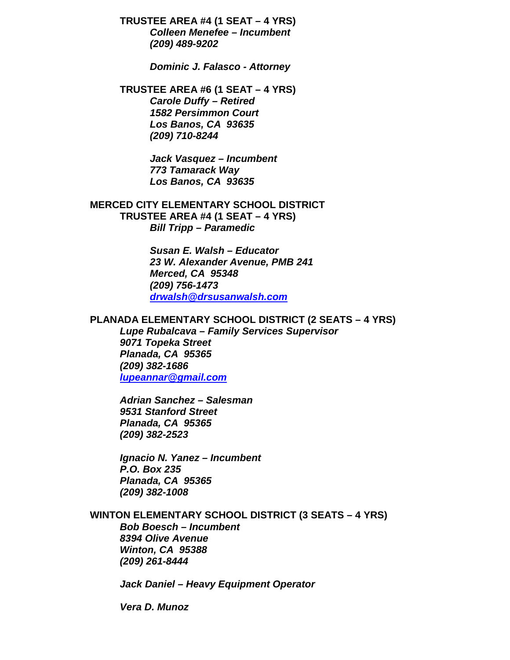**TRUSTEE AREA #4 (1 SEAT – 4 YRS)** *Colleen Menefee – Incumbent (209) 489-9202*

*Dominic J. Falasco - Attorney*

**TRUSTEE AREA #6 (1 SEAT – 4 YRS)** *Carole Duffy – Retired 1582 Persimmon Court Los Banos, CA 93635 (209) 710-8244*

> *Jack Vasquez – Incumbent 773 Tamarack Way Los Banos, CA 93635*

**MERCED CITY ELEMENTARY SCHOOL DISTRICT TRUSTEE AREA #4 (1 SEAT – 4 YRS)** *Bill Tripp – Paramedic*

> *Susan E. Walsh – Educator 23 W. Alexander Avenue, PMB 241 Merced, CA 95348 (209) 756-1473 [drwalsh@drsusanwalsh.com](mailto:drwalsh@drsusanwalsh.com)*

#### **PLANADA ELEMENTARY SCHOOL DISTRICT (2 SEATS – 4 YRS)**

*Lupe Rubalcava – Family Services Supervisor 9071 Topeka Street Planada, CA 95365 (209) 382-1686 [lupeannar@gmail.com](mailto:lupeannar@gmail.com)*

*Adrian Sanchez – Salesman 9531 Stanford Street Planada, CA 95365 (209) 382-2523*

*Ignacio N. Yanez – Incumbent P.O. Box 235 Planada, CA 95365 (209) 382-1008*

### **WINTON ELEMENTARY SCHOOL DISTRICT (3 SEATS – 4 YRS)**

*Bob Boesch – Incumbent 8394 Olive Avenue Winton, CA 95388 (209) 261-8444*

*Jack Daniel – Heavy Equipment Operator*

*Vera D. Munoz*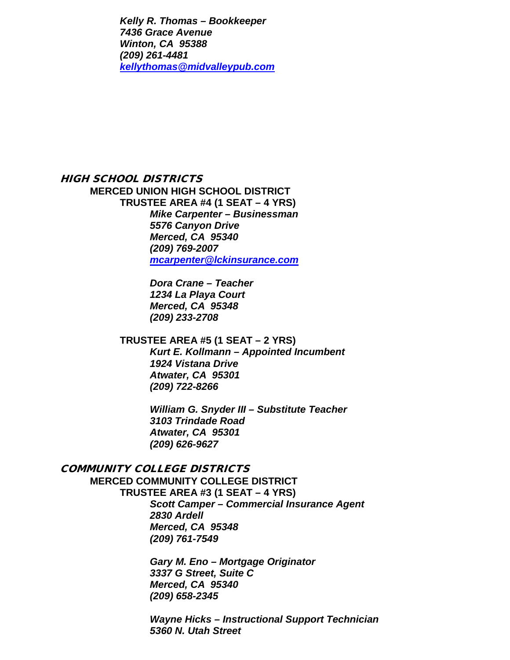*Kelly R. Thomas – Bookkeeper 7436 Grace Avenue Winton, CA 95388 (209) 261-4481 [kellythomas@midvalleypub.com](mailto:kellythomas@midvalleypub.com)*

# HIGH SCHOOL DISTRICTS **MERCED UNION HIGH SCHOOL DISTRICT**

**TRUSTEE AREA #4 (1 SEAT – 4 YRS)** *Mike Carpenter – Businessman 5576 Canyon Drive Merced, CA 95340 (209) 769-2007 [mcarpenter@lckinsurance.com](mailto:mcarpenter@lckinsurance.com)*

> *Dora Crane – Teacher 1234 La Playa Court Merced, CA 95348 (209) 233-2708*

### **TRUSTEE AREA #5 (1 SEAT – 2 YRS)**

*Kurt E. Kollmann – Appointed Incumbent 1924 Vistana Drive Atwater, CA 95301 (209) 722-8266*

*William G. Snyder III – Substitute Teacher 3103 Trindade Road Atwater, CA 95301 (209) 626-9627*

# COMMUNITY COLLEGE DISTRICTS

**MERCED COMMUNITY COLLEGE DISTRICT**

# **TRUSTEE AREA #3 (1 SEAT – 4 YRS)**

*Scott Camper – Commercial Insurance Agent 2830 Ardell Merced, CA 95348 (209) 761-7549*

*Gary M. Eno – Mortgage Originator 3337 G Street, Suite C Merced, CA 95340 (209) 658-2345*

*Wayne Hicks – Instructional Support Technician 5360 N. Utah Street*